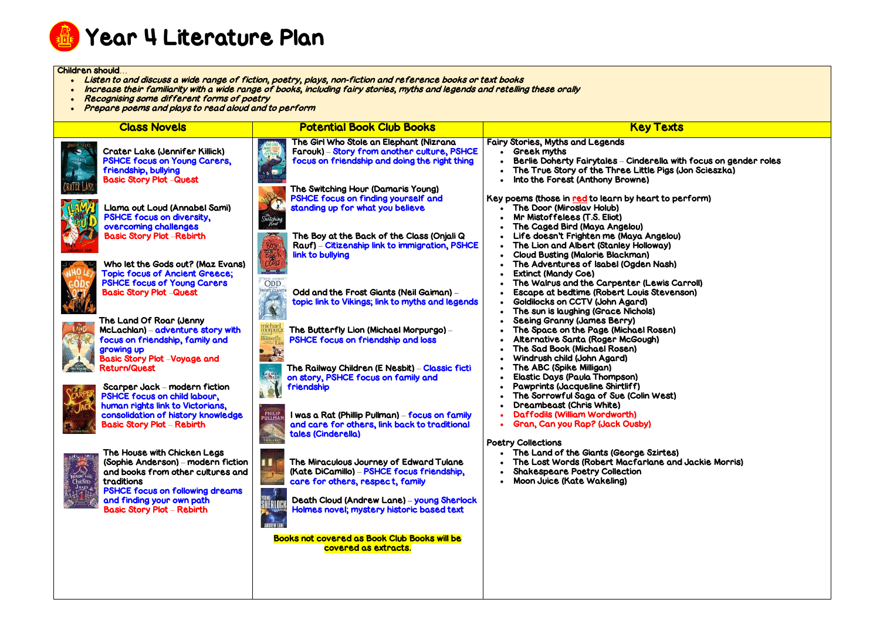

## Children should…

- Listen to and discuss a wide range of fiction, poetry, plays, non-fiction and reference books or text books
- . Increase their familiarity with a wide range of books, including fairy stories, myths and legends and retelling these orally
- Recognising some different forms of poetry
- Prepare poems and plays to read aloud and to perform

| <b>Class Novels</b>                                                                                                                                                                          | <b>Potential Book Club Books</b>                                                                                                                            | <b>Key Texts</b>                                                                                                                                                                                      |
|----------------------------------------------------------------------------------------------------------------------------------------------------------------------------------------------|-------------------------------------------------------------------------------------------------------------------------------------------------------------|-------------------------------------------------------------------------------------------------------------------------------------------------------------------------------------------------------|
| <b>Crater Lake (Jennifer Killick)</b><br><b>PSHCE focus on Young Carers,</b><br>friendship, bullying<br><b>Basic Story Plot -Quest</b>                                                       | The Girl Who Stole an Elephant (Nizrana<br>Farouk) - Story from another culture, PSHCE<br>focus on friendship and doing the right thing                     | <b>Fairy Stories, Myths and Legends</b><br><b>Greek myths</b><br><b>Berlie Doherty Fairytales - Cinderella with</b><br>The True Story of the Three Little Pigs (J<br>Into the Forest (Anthony Browne) |
| Llama out Loud (Annabel Sami)<br><b>PSHCE focus on diversity,</b><br>overcoming challenges<br><b>Basic Story Plot -Rebirth</b>                                                               | The Switching Hour (Damaris Young)<br>PSHCE focus on finding yourself and<br>standing up for what you believe<br>The Boy at the Back of the Class (Onjali Q | Key poems (those in red to learn by heart to pe<br>The Door (Miroslav Holub)<br>Mr Mistoffelees (T.S. Eliot)<br>The Caged Bird (Maya Angelou)<br>Life doesn't Frighten me (Maya Angelou)              |
| Who let the Gods out? (Maz Evans)<br><b>Topic focus of Ancient Greece;</b><br><b>PSHCE focus of Young Carers</b>                                                                             | Rauf) – Citizenship link to immigration, PSHCE<br>link to bullying<br><b>ODD</b>                                                                            | The Lion and Albert (Stanley Holloway)<br><b>Cloud Busting (Malorie Blackman)</b><br>The Adventures of Isabel (Ogden Nash)<br><b>Extinct (Mandy Coe)</b><br>The Walrus and the Carpenter (Lewis Ca    |
| <b>Basic Story Plot -Quest</b><br>The Land Of Roar (Jenny                                                                                                                                    | Odd and the Frost Giants (Neil Gaiman) -<br>topic link to Vikings; link to myths and legends                                                                | Escape at bedtime (Robert Louis Stevens<br><b>Goldilocks on CCTV (John Agard)</b><br>The sun is laughing (Grace Nichols)<br><b>Seeing Granny (James Berry)</b>                                        |
| McLachlan) – adventure story with<br>focus on friendship, family and<br>growing up<br><b>Basic Story Plot -Voyage and</b>                                                                    | The Butterfly Lion (Michael Morpurgo) –<br>PSHCE focus on friendship and loss                                                                               | The Space on the Page (Michael Rosen)<br>Alternative Santa (Roger McGough)<br>The Sad Book (Michael Rosen)<br>Windrush child (John Agard)                                                             |
| <b>Return/Quest</b><br>Scarper Jack - modern fiction<br>PSHCE focus on child labour,<br>human rights link to Victorians,                                                                     | The Railway Children (E Nesbit) - Classic ficti<br>$\sqrt{2}$<br>on story, PSHCE focus on family and<br>friendship                                          | The ABC (Spike Milligan)<br><b>Elastic Days (Paula Thompson)</b><br><b>Pawprints (Jacqueline Shirtliff)</b><br>The Sorrowful Saga of Sue (Colin West)<br>Dreambeast (Chris White)                     |
| consolidation of history knowledge<br><b>Basic Story Plot - Rebirth</b>                                                                                                                      | <b>PHILIP</b><br>PULLMAI<br>I was a Rat (Phillip Pullman) – focus on family<br>and care for others, link back to traditional<br>tales (Cinderella)          | Daffodils (William Wordworth)<br>Gran, Can you Rap? (Jack Ousby)<br><b>Poetry Collections</b>                                                                                                         |
| The House with Chicken Legs<br>(Sophie Anderson) – modern fiction<br>and books from other cultures and<br><b>CIUSC LAY</b><br>traditions<br>Chiden<br><b>PSHCE focus on following dreams</b> | ш<br>The Miraculous Journey of Edward Tulane<br>(Kate DiCamillo) - PSHCE focus friendship,<br>care for others, respect, family                              | The Land of the Giants (George Szirtes)<br>The Lost Words (Robert Macfarlane and<br><b>Shakespeare Poetry Collection</b><br><b>Moon Juice (Kate Wakeling)</b>                                         |
| and finding your own path<br><b>Basic Story Plot - Rebirth</b>                                                                                                                               | .<br>Herlo<br>Death Cloud (Andrew Lane) – young Sherlock<br>Holmes novel; mystery historic based text<br><b><i>INSERVISH</i></b>                            |                                                                                                                                                                                                       |
|                                                                                                                                                                                              | <b>Books not covered as Book Club Books will be</b><br>covered as extracts.                                                                                 |                                                                                                                                                                                                       |

la with focus on gender roles igs (Jon Scieszka)

to perform)

is Carroll) evenson)

and Jackie Morris)